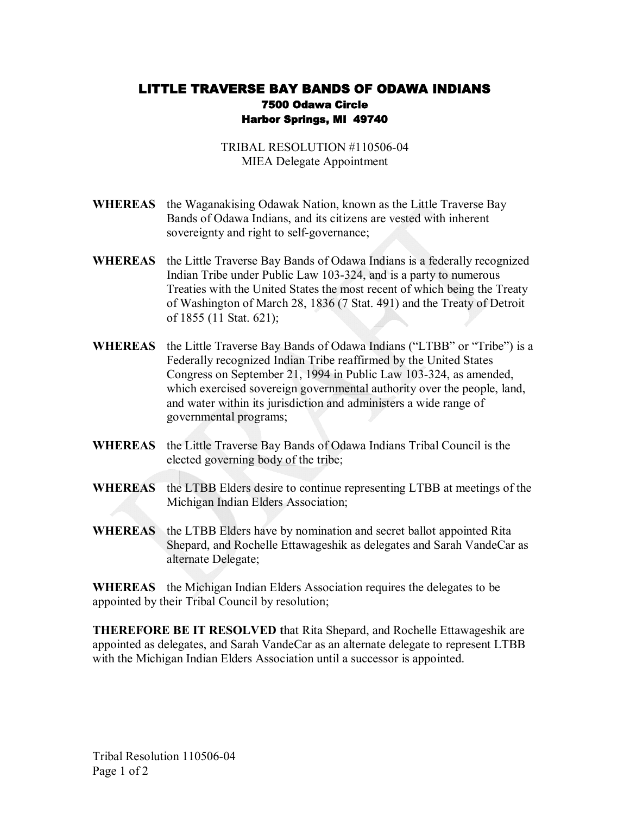## LITTLE TRAVERSE BAY BANDS OF ODAWA INDIANS 7500 Odawa Circle Harbor Springs, MI 49740

## TRIBAL RESOLUTION #110506-04 MIEA Delegate Appointment

- **WHEREAS** the Waganakising Odawak Nation, known as the Little Traverse Bay Bands of Odawa Indians, and its citizens are vested with inherent sovereignty and right to self-governance;
- **WHEREAS** the Little Traverse Bay Bands of Odawa Indians is a federally recognized Indian Tribe under Public Law 103-324, and is a party to numerous Treaties with the United States the most recent of which being the Treaty of Washington of March 28, 1836 (7 Stat. 491) and the Treaty of Detroit of 1855 (11 Stat. 621);
- **WHEREAS** the Little Traverse Bay Bands of Odawa Indians ("LTBB" or "Tribe") is a Federally recognized Indian Tribe reaffirmed by the United States Congress on September 21, 1994 in Public Law 103-324, as amended, which exercised sovereign governmental authority over the people, land, and water within its jurisdiction and administers a wide range of governmental programs;
- **WHEREAS** the Little Traverse Bay Bands of Odawa Indians Tribal Council is the elected governing body of the tribe;
- **WHEREAS** the LTBB Elders desire to continue representing LTBB at meetings of the Michigan Indian Elders Association;
- **WHEREAS** the LTBB Elders have by nomination and secret ballot appointed Rita Shepard, and Rochelle Ettawageshik as delegates and Sarah VandeCar as alternate Delegate;

**WHEREAS** the Michigan Indian Elders Association requires the delegates to be appointed by their Tribal Council by resolution;

**THEREFORE BE IT RESOLVED t**hat Rita Shepard, and Rochelle Ettawageshik are appointed as delegates, and Sarah VandeCar as an alternate delegate to represent LTBB with the Michigan Indian Elders Association until a successor is appointed.